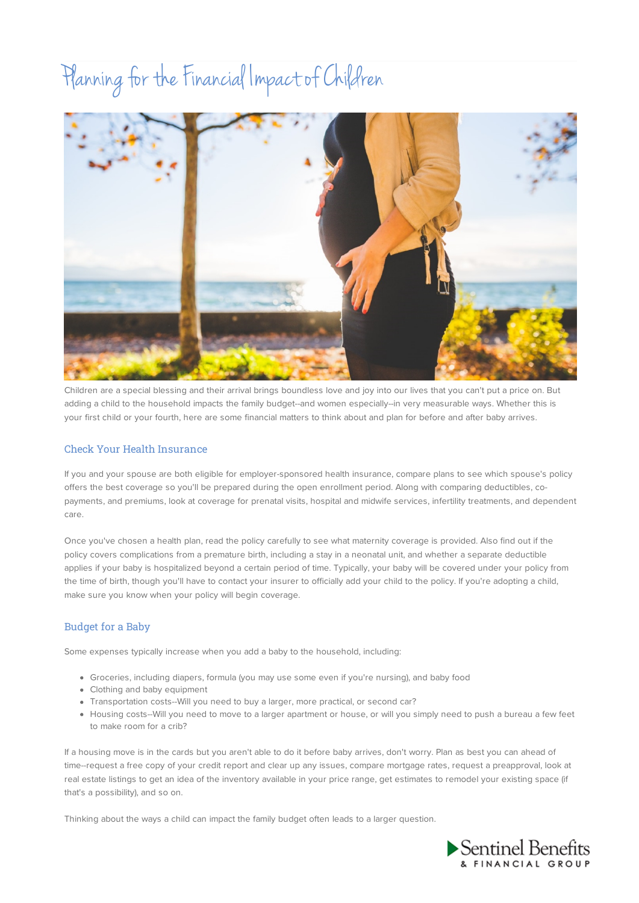# Planning for the Financial Impact of Children



Children are a special blessing and their arrival brings boundless love and joy into our lives that you can't put a price on. But adding a child to the household impacts the family budget--and women especially--in very measurable ways. Whether this is your first child or your fourth, here are some financial matters to think about and plan for before and after baby arrives.

## Check Your Health Insurance

If you and your spouse are both eligible for employer-sponsored health insurance, compare plans to see which spouse's policy offers the best coverage so you'll be prepared during the open enrollment period. Along with comparing deductibles, copayments, and premiums, look at coverage for prenatal visits, hospital and midwife services, infertility treatments, and dependent care.

Once you've chosen a health plan, read the policy carefully to see what maternity coverage is provided. Also find out if the policy covers complications from a premature birth, including a stay in a neonatal unit, and whether a separate deductible applies if your baby is hospitalized beyond a certain period of time. Typically, your baby will be covered under your policy from the time of birth, though you'll have to contact your insurer to officially add your child to the policy. If you're adopting a child, make sure you know when your policy will begin coverage.

# Budget for a Baby

Some expenses typically increase when you add a baby to the household, including:

- Groceries, including diapers, formula (you may use some even if you're nursing), and baby food
- Clothing and baby equipment
- Transportation costs--Will you need to buy a larger, more practical, or second car?
- Housing costs--Will you need to move to a larger apartment or house, or will you simply need to push a bureau a few feet to make room for a crib?

If a housing move is in the cards but you aren't able to do it before baby arrives, don't worry. Plan as best you can ahead of time--request a free copy of your credit report and clear up any issues, compare mortgage rates, request a preapproval, look at real estate listings to get an idea of the inventory available in your price range, get estimates to remodel your existing space (if that's a possibility), and so on.

Thinking about the ways a child can impact the family budget often leads to a larger question.

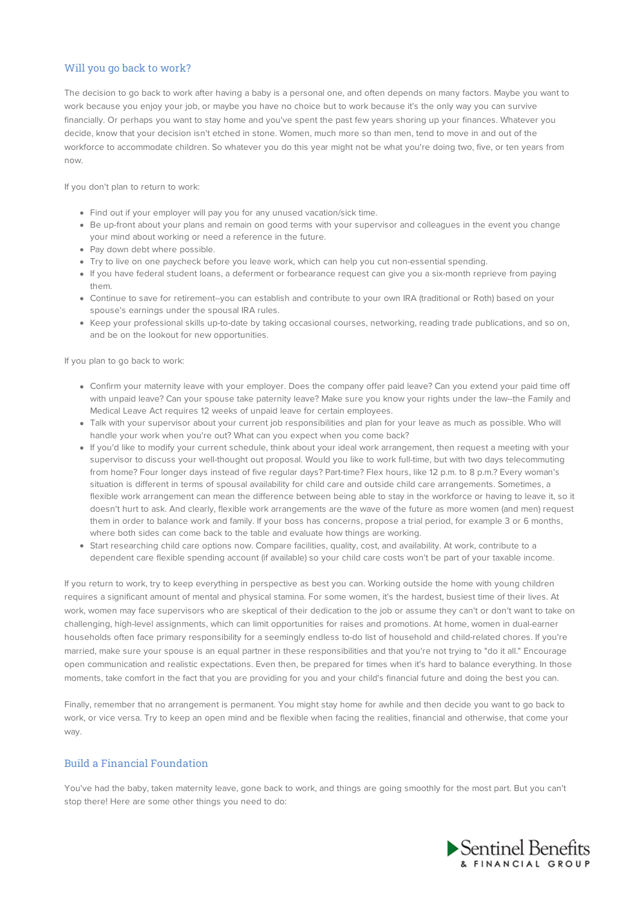## Will you go back to work?

The decision to go back to work after having a baby is a personal one, and often depends on many factors. Maybe you want to work because you enjoy your job, or maybe you have no choice but to work because it's the only way you can survive financially. Or perhaps you want to stay home and you've spent the past few years shoring up your finances. Whatever you decide, know that your decision isn't etched in stone. Women, much more so than men, tend to move in and out of the workforce to accommodate children. So whatever you do this year might not be what you're doing two, five, or ten years from now.

If you don't plan to return to work:

- Find out if your employer will pay you for any unused vacation/sick time.
- Be up-front about your plans and remain on good terms with your supervisor and colleagues in the event you change your mind about working or need a reference in the future.
- Pay down debt where possible.
- Try to live on one paycheck before you leave work, which can help you cut non-essential spending.
- If you have federal student loans, a deferment or forbearance request can give you a six-month reprieve from paying them.
- Continue to save for retirement--you can establish and contribute to your own IRA (traditional or Roth) based on your spouse's earnings under the spousal IRA rules.
- Keep your professional skills up-to-date by taking occasional courses, networking, reading trade publications, and so on, and be on the lookout for new opportunities.

If you plan to go back to work:

- Confirm your maternity leave with your employer. Does the company offer paid leave? Can you extend your paid time off with unpaid leave? Can your spouse take paternity leave? Make sure you know your rights under the law--the Family and Medical Leave Act requires 12 weeks of unpaid leave for certain employees.
- Talk with your supervisor about your current job responsibilities and plan for your leave as much as possible. Who will handle your work when you're out? What can you expect when you come back?
- If you'd like to modify your current schedule, think about your ideal work arrangement, then request a meeting with your supervisor to discuss your well-thought out proposal. Would you like to work full-time, but with two days telecommuting from home? Four longer days instead of five regular days? Part-time? Flex hours, like 12 p.m. to 8 p.m.? Every woman's situation is different in terms of spousal availability for child care and outside child care arrangements. Sometimes, a flexible work arrangement can mean the difference between being able to stay in the workforce or having to leave it, so it doesn't hurt to ask. And clearly, flexible work arrangements are the wave of the future as more women (and men) request them in order to balance work and family. If your boss has concerns, propose a trial period, for example 3 or 6 months, where both sides can come back to the table and evaluate how things are working.
- Start researching child care options now. Compare facilities, quality, cost, and availability. At work, contribute to a dependent care flexible spending account (if available) so your child care costs won't be part of your taxable income.

If you return to work, try to keep everything in perspective as best you can. Working outside the home with young children requires a significant amount of mental and physical stamina. For some women, it's the hardest, busiest time of their lives. At work, women may face supervisors who are skeptical of their dedication to the job or assume they can't or don't want to take on challenging, high-level assignments, which can limit opportunities for raises and promotions. At home, women in dual-earner households often face primary responsibility for a seemingly endless to-do list of household and child-related chores. If you're married, make sure your spouse is an equal partner in these responsibilities and that you're not trying to "do it all." Encourage open communication and realistic expectations. Even then, be prepared for times when it's hard to balance everything. In those moments, take comfort in the fact that you are providing for you and your child's financial future and doing the best you can.

Finally, remember that no arrangement is permanent. You might stay home for awhile and then decide you want to go back to work, or vice versa. Try to keep an open mind and be flexible when facing the realities, financial and otherwise, that come your way.

#### Build a Financial Foundation

You've had the baby, taken maternity leave, gone back to work, and things are going smoothly for the most part. But you can't stop there! Here are some other things you need to do: